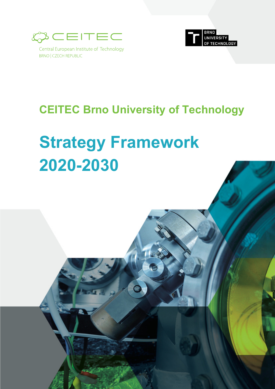

Central European Institute of Technology **BRNO | CZECH REPUBLIC** 



## **CEITEC Brno University of Technology**

# **Strategy Framework 2020-2030**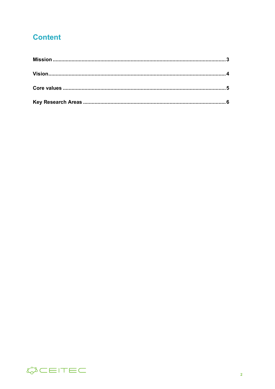#### **Content**

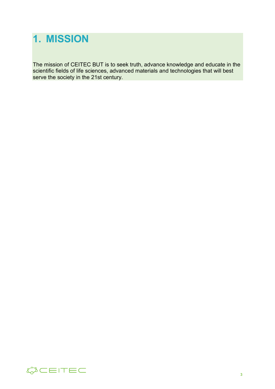#### **1. MISSION**

The mission of CEITEC BUT is to seek truth, advance knowledge and educate in the scientific fields of life sciences, advanced materials and technologies that will best serve the society in the 21st century.

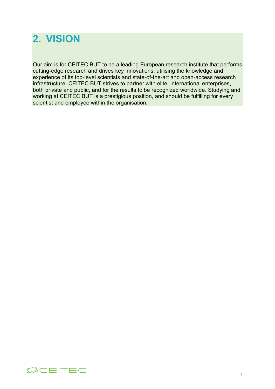#### **2. VISION**

Our aim is for CEITEC BUT to be a leading European research institute that performs cutting-edge research and drives key innovations, utilising the knowledge and experience of its top-level scientists and state-of-the-art and open-access research infrastructure. CEITEC BUT strives to partner with elite, international enterprises, both private and public, and for the results to be recognized worldwide. Studying and working at CEITEC BUT is a prestigious position, and should be fulfilling for every scientist and employee within the organisation.

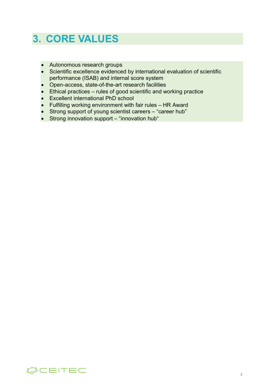#### **3. CORE VALUES**

- Autonomous research groups
- Scientific excellence evidenced by international evaluation of scientific performance (ISAB) and internal score system
- Open-access, state-of-the-art research facilities
- Ethical practices rules of good scientific and working practice
- Excellent international PhD school
- Fulfilling working environment with fair rules HR Award
- Strong support of young scientist careers "career hub"
- Strong innovation support "innovation hub"